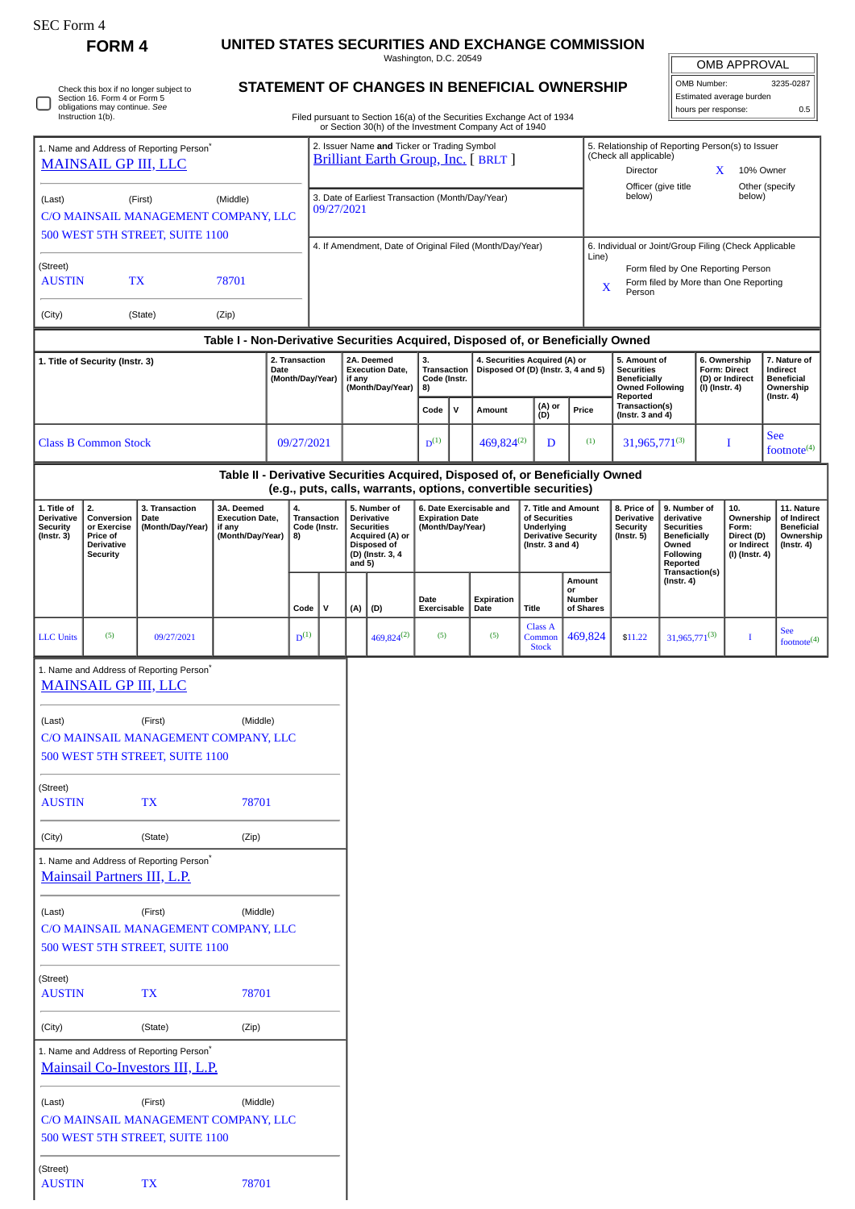| SEC Form 4                                                                                                                   |                                                                                     |                                                                                         |                                                                                                                                                                                                                                                                                                                         |                                                                                                                                                                                  |                                                                                                           |                              |                                                                  |                                                                                                          |                                         |                                                                          |                                                                                 |                                                                                                     |                                          |                                       |                                                                                                           |                                    |                |                                                        |                                                                                |
|------------------------------------------------------------------------------------------------------------------------------|-------------------------------------------------------------------------------------|-----------------------------------------------------------------------------------------|-------------------------------------------------------------------------------------------------------------------------------------------------------------------------------------------------------------------------------------------------------------------------------------------------------------------------|----------------------------------------------------------------------------------------------------------------------------------------------------------------------------------|-----------------------------------------------------------------------------------------------------------|------------------------------|------------------------------------------------------------------|----------------------------------------------------------------------------------------------------------|-----------------------------------------|--------------------------------------------------------------------------|---------------------------------------------------------------------------------|-----------------------------------------------------------------------------------------------------|------------------------------------------|---------------------------------------|-----------------------------------------------------------------------------------------------------------|------------------------------------|----------------|--------------------------------------------------------|--------------------------------------------------------------------------------|
|                                                                                                                              | <b>FORM4</b>                                                                        |                                                                                         |                                                                                                                                                                                                                                                                                                                         |                                                                                                                                                                                  |                                                                                                           |                              |                                                                  |                                                                                                          | Washington, D.C. 20549                  |                                                                          | UNITED STATES SECURITIES AND EXCHANGE COMMISSION                                |                                                                                                     |                                          |                                       |                                                                                                           |                                    |                |                                                        |                                                                                |
| Check this box if no longer subject to<br>Section 16. Form 4 or Form 5<br>obligations may continue. See<br>Instruction 1(b). |                                                                                     |                                                                                         |                                                                                                                                                                                                                                                                                                                         | STATEMENT OF CHANGES IN BENEFICIAL OWNERSHIP<br>Filed pursuant to Section 16(a) of the Securities Exchange Act of 1934<br>or Section 30(h) of the Investment Company Act of 1940 |                                                                                                           |                              |                                                                  |                                                                                                          |                                         |                                                                          |                                                                                 |                                                                                                     |                                          |                                       | <b>OMB APPROVAL</b><br>OMB Number:<br>3235-0287<br>Estimated average burden<br>hours per response:<br>0.5 |                                    |                |                                                        |                                                                                |
|                                                                                                                              |                                                                                     | 1. Name and Address of Reporting Person <sup>®</sup>                                    |                                                                                                                                                                                                                                                                                                                         |                                                                                                                                                                                  |                                                                                                           |                              |                                                                  | 2. Issuer Name and Ticker or Trading Symbol                                                              |                                         |                                                                          |                                                                                 |                                                                                                     |                                          |                                       | 5. Relationship of Reporting Person(s) to Issuer<br>(Check all applicable)                                |                                    |                |                                                        |                                                                                |
| <b>MAINSAIL GP III, LLC</b>                                                                                                  |                                                                                     |                                                                                         |                                                                                                                                                                                                                                                                                                                         |                                                                                                                                                                                  | <b>Brilliant Earth Group, Inc.</b> [ BRLT ]                                                               |                              |                                                                  |                                                                                                          |                                         |                                                                          |                                                                                 | $\mathbf{X}$<br>Director<br>10% Owner<br>Officer (give title<br>Other (specify                      |                                          |                                       |                                                                                                           |                                    |                |                                                        |                                                                                |
| (Middle)<br>(Last)<br>(First)<br>C/O MAINSAIL MANAGEMENT COMPANY, LLC                                                        |                                                                                     |                                                                                         |                                                                                                                                                                                                                                                                                                                         |                                                                                                                                                                                  | 3. Date of Earliest Transaction (Month/Day/Year)<br>09/27/2021                                            |                              |                                                                  |                                                                                                          |                                         |                                                                          |                                                                                 |                                                                                                     | below)<br>below)                         |                                       |                                                                                                           |                                    |                |                                                        |                                                                                |
|                                                                                                                              |                                                                                     | 500 WEST 5TH STREET, SUITE 1100                                                         |                                                                                                                                                                                                                                                                                                                         |                                                                                                                                                                                  |                                                                                                           |                              |                                                                  |                                                                                                          |                                         |                                                                          | 4. If Amendment, Date of Original Filed (Month/Day/Year)                        |                                                                                                     |                                          |                                       | 6. Individual or Joint/Group Filing (Check Applicable                                                     |                                    |                |                                                        |                                                                                |
| (Street)<br><b>TX</b><br>78701<br><b>AUSTIN</b>                                                                              |                                                                                     |                                                                                         |                                                                                                                                                                                                                                                                                                                         |                                                                                                                                                                                  |                                                                                                           |                              |                                                                  |                                                                                                          |                                         |                                                                          |                                                                                 | Line)<br>Form filed by One Reporting Person<br>Form filed by More than One Reporting<br>X<br>Person |                                          |                                       |                                                                                                           |                                    |                |                                                        |                                                                                |
| (City)                                                                                                                       |                                                                                     | (State)                                                                                 | (Zip)                                                                                                                                                                                                                                                                                                                   |                                                                                                                                                                                  |                                                                                                           |                              |                                                                  |                                                                                                          |                                         |                                                                          |                                                                                 |                                                                                                     |                                          |                                       |                                                                                                           |                                    |                |                                                        |                                                                                |
|                                                                                                                              |                                                                                     |                                                                                         | Table I - Non-Derivative Securities Acquired, Disposed of, or Beneficially Owned                                                                                                                                                                                                                                        |                                                                                                                                                                                  |                                                                                                           |                              |                                                                  |                                                                                                          |                                         |                                                                          |                                                                                 |                                                                                                     |                                          |                                       |                                                                                                           |                                    |                |                                                        |                                                                                |
|                                                                                                                              | 1. Title of Security (Instr. 3)                                                     |                                                                                         |                                                                                                                                                                                                                                                                                                                         | 2. Transaction<br>Date<br>(Month/Day/Year)                                                                                                                                       |                                                                                                           |                              | if any                                                           | 2A. Deemed<br><b>Execution Date,</b><br>(Month/Day/Year)                                                 | 3.<br>Transaction<br>Code (Instr.<br>8) |                                                                          | 4. Securities Acquired (A) or<br>Disposed Of (D) (Instr. 3, 4 and 5)            |                                                                                                     |                                          |                                       | 5. Amount of<br><b>Securities</b><br><b>Beneficially</b><br><b>Owned Following</b><br>Reported            |                                    | (I) (Instr. 4) | 6. Ownership<br><b>Form: Direct</b><br>(D) or Indirect | 7. Nature of<br>Indirect<br><b>Beneficial</b><br>Ownership<br>$($ Instr. 4 $)$ |
|                                                                                                                              |                                                                                     |                                                                                         |                                                                                                                                                                                                                                                                                                                         |                                                                                                                                                                                  |                                                                                                           |                              |                                                                  |                                                                                                          |                                         | $\mathsf{v}$                                                             | Amount                                                                          |                                                                                                     | (A) or<br>(D)                            | Price                                 | Transaction(s)<br>(Instr. $3$ and $4$ )                                                                   |                                    |                |                                                        |                                                                                |
| 09/27/2021<br><b>Class B Common Stock</b>                                                                                    |                                                                                     |                                                                                         |                                                                                                                                                                                                                                                                                                                         |                                                                                                                                                                                  |                                                                                                           | $D^{(1)}$<br>469,824(2)<br>D |                                                                  |                                                                                                          | (1)                                     | 31,965,771(3)                                                            |                                                                                 |                                                                                                     | Ι                                        | <b>See</b><br>footnote <sup>(4)</sup> |                                                                                                           |                                    |                |                                                        |                                                                                |
|                                                                                                                              |                                                                                     |                                                                                         | Table II - Derivative Securities Acquired, Disposed of, or Beneficially Owned                                                                                                                                                                                                                                           |                                                                                                                                                                                  |                                                                                                           |                              |                                                                  |                                                                                                          |                                         |                                                                          | (e.g., puts, calls, warrants, options, convertible securities)                  |                                                                                                     |                                          |                                       |                                                                                                           |                                    |                |                                                        |                                                                                |
| 1. Title of<br><b>Derivative</b><br>Security<br>$($ Instr. 3 $)$                                                             | 2.<br>Conversion<br>or Exercise<br>Price of<br><b>Derivative</b><br><b>Security</b> | 3. Transaction<br>Date<br>(Month/Day/Year)                                              | 3A. Deemed<br>5. Number of<br>6. Date Exercisable and<br>4.<br><b>Execution Date,</b><br><b>Transaction</b><br><b>Derivative</b><br><b>Expiration Date</b><br>if any<br>Code (Instr.<br><b>Securities</b><br>(Month/Day/Year)<br>(Month/Day/Year)<br>Acquired (A) or<br>8)<br>Disposed of<br>(D) (Instr. 3, 4<br>and 5) |                                                                                                                                                                                  | 7. Title and Amount<br>of Securities<br>Underlying<br><b>Derivative Security</b><br>(Instr. $3$ and $4$ ) |                              | 8. Price of<br><b>Derivative</b><br>Security<br>$($ Instr. 5 $)$ | 9. Number of<br>derivative<br><b>Securities</b><br><b>Beneficially</b><br>Owned<br>Following<br>Reported |                                         | 10.<br>Ownership<br>Form:<br>Direct (D)<br>or Indirect<br>(I) (Instr. 4) | 11. Nature<br>of Indirect<br><b>Beneficial</b><br>Ownership<br>$($ Instr. 4 $)$ |                                                                                                     |                                          |                                       |                                                                                                           |                                    |                |                                                        |                                                                                |
|                                                                                                                              |                                                                                     |                                                                                         |                                                                                                                                                                                                                                                                                                                         |                                                                                                                                                                                  | Code                                                                                                      | v                            |                                                                  | $(A)$ $(D)$                                                                                              | Date<br>Exercisable                     |                                                                          | <b>Expiration</b><br>Date                                                       | <b>Title</b>                                                                                        |                                          | Amount<br>or<br>Number<br>of Shares   |                                                                                                           | Transaction(s)<br>$($ Instr. 4 $)$ |                |                                                        |                                                                                |
| <b>LLC</b> Units                                                                                                             | (5)                                                                                 | 09/27/2021                                                                              |                                                                                                                                                                                                                                                                                                                         |                                                                                                                                                                                  | $D^{(1)}$                                                                                                 |                              |                                                                  | $469,824^{(2)}$                                                                                          | (5)                                     |                                                                          | (5)                                                                             |                                                                                                     | <b>Class A</b><br>Common<br><b>Stock</b> | 469,824                               | \$11.22                                                                                                   | $31,965,771^{(3)}$                 |                | $\bf{I}$                                               | <b>See</b><br>footnote <sup>(4)</sup>                                          |
|                                                                                                                              |                                                                                     | 1. Name and Address of Reporting Person*<br><b>MAINSAIL GP III, LLC</b>                 |                                                                                                                                                                                                                                                                                                                         |                                                                                                                                                                                  |                                                                                                           |                              |                                                                  |                                                                                                          |                                         |                                                                          |                                                                                 |                                                                                                     |                                          |                                       |                                                                                                           |                                    |                |                                                        |                                                                                |
| (Last)                                                                                                                       |                                                                                     | (First)<br>C/O MAINSAIL MANAGEMENT COMPANY, LLC<br>500 WEST 5TH STREET, SUITE 1100      | (Middle)                                                                                                                                                                                                                                                                                                                |                                                                                                                                                                                  |                                                                                                           |                              |                                                                  |                                                                                                          |                                         |                                                                          |                                                                                 |                                                                                                     |                                          |                                       |                                                                                                           |                                    |                |                                                        |                                                                                |
| (Street)<br><b>AUSTIN</b>                                                                                                    |                                                                                     | TX                                                                                      | 78701                                                                                                                                                                                                                                                                                                                   |                                                                                                                                                                                  |                                                                                                           |                              |                                                                  |                                                                                                          |                                         |                                                                          |                                                                                 |                                                                                                     |                                          |                                       |                                                                                                           |                                    |                |                                                        |                                                                                |
| (City)                                                                                                                       |                                                                                     | (State)                                                                                 | (Zip)                                                                                                                                                                                                                                                                                                                   |                                                                                                                                                                                  |                                                                                                           |                              |                                                                  |                                                                                                          |                                         |                                                                          |                                                                                 |                                                                                                     |                                          |                                       |                                                                                                           |                                    |                |                                                        |                                                                                |
|                                                                                                                              |                                                                                     | 1. Name and Address of Reporting Person <sup>*</sup><br>Mainsail Partners III, L.P.     |                                                                                                                                                                                                                                                                                                                         |                                                                                                                                                                                  |                                                                                                           |                              |                                                                  |                                                                                                          |                                         |                                                                          |                                                                                 |                                                                                                     |                                          |                                       |                                                                                                           |                                    |                |                                                        |                                                                                |
| (Last)                                                                                                                       |                                                                                     | (First)<br>C/O MAINSAIL MANAGEMENT COMPANY, LLC<br>500 WEST 5TH STREET, SUITE 1100      | (Middle)                                                                                                                                                                                                                                                                                                                |                                                                                                                                                                                  |                                                                                                           |                              |                                                                  |                                                                                                          |                                         |                                                                          |                                                                                 |                                                                                                     |                                          |                                       |                                                                                                           |                                    |                |                                                        |                                                                                |
| (Street)<br><b>AUSTIN</b>                                                                                                    |                                                                                     | TX                                                                                      | 78701                                                                                                                                                                                                                                                                                                                   |                                                                                                                                                                                  |                                                                                                           |                              |                                                                  |                                                                                                          |                                         |                                                                          |                                                                                 |                                                                                                     |                                          |                                       |                                                                                                           |                                    |                |                                                        |                                                                                |
| (City)                                                                                                                       |                                                                                     | (State)                                                                                 | (Zip)                                                                                                                                                                                                                                                                                                                   |                                                                                                                                                                                  |                                                                                                           |                              |                                                                  |                                                                                                          |                                         |                                                                          |                                                                                 |                                                                                                     |                                          |                                       |                                                                                                           |                                    |                |                                                        |                                                                                |
|                                                                                                                              |                                                                                     | 1. Name and Address of Reporting Person <sup>*</sup><br>Mainsail Co-Investors III, L.P. |                                                                                                                                                                                                                                                                                                                         |                                                                                                                                                                                  |                                                                                                           |                              |                                                                  |                                                                                                          |                                         |                                                                          |                                                                                 |                                                                                                     |                                          |                                       |                                                                                                           |                                    |                |                                                        |                                                                                |
| (Last)                                                                                                                       |                                                                                     | (First)<br>C/O MAINSAIL MANAGEMENT COMPANY, LLC<br>500 WEST 5TH STREET, SUITE 1100      | (Middle)                                                                                                                                                                                                                                                                                                                |                                                                                                                                                                                  |                                                                                                           |                              |                                                                  |                                                                                                          |                                         |                                                                          |                                                                                 |                                                                                                     |                                          |                                       |                                                                                                           |                                    |                |                                                        |                                                                                |
| (Street)<br><b>AUSTIN</b>                                                                                                    |                                                                                     | <b>TX</b>                                                                               | 78701                                                                                                                                                                                                                                                                                                                   |                                                                                                                                                                                  |                                                                                                           |                              |                                                                  |                                                                                                          |                                         |                                                                          |                                                                                 |                                                                                                     |                                          |                                       |                                                                                                           |                                    |                |                                                        |                                                                                |